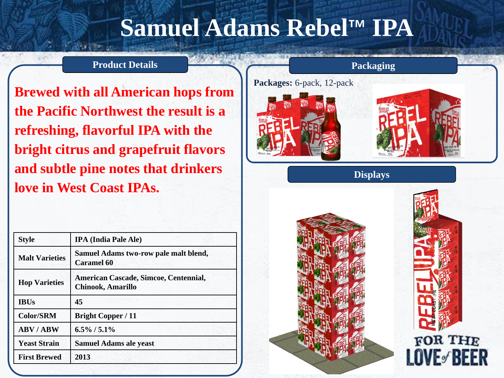# **Samuel Adams Rebel**™ **IPA**

#### **Product Details Packaging**

**Brewed with all American hops from the Pacific Northwest the result is a refreshing, flavorful IPA with the bright citrus and grapefruit flavors and subtle pine notes that drinkers love in West Coast IPAs.**



| <b>Style</b>          | <b>IPA</b> (India Pale Ale)                                |
|-----------------------|------------------------------------------------------------|
| <b>Malt Varieties</b> | Samuel Adams two-row pale malt blend,<br><b>Caramel 60</b> |
| <b>Hop Varieties</b>  | American Cascade, Simcoe, Centennial,<br>Chinook, Amarillo |
| <b>IBUs</b>           | 45                                                         |
| <b>Color/SRM</b>      | <b>Bright Copper / 11</b>                                  |
| <b>ABV/ABW</b>        | $6.5\%$ / 5.1%                                             |
| <b>Yeast Strain</b>   | <b>Samuel Adams ale yeast</b>                              |
| <b>First Brewed</b>   | 2013                                                       |